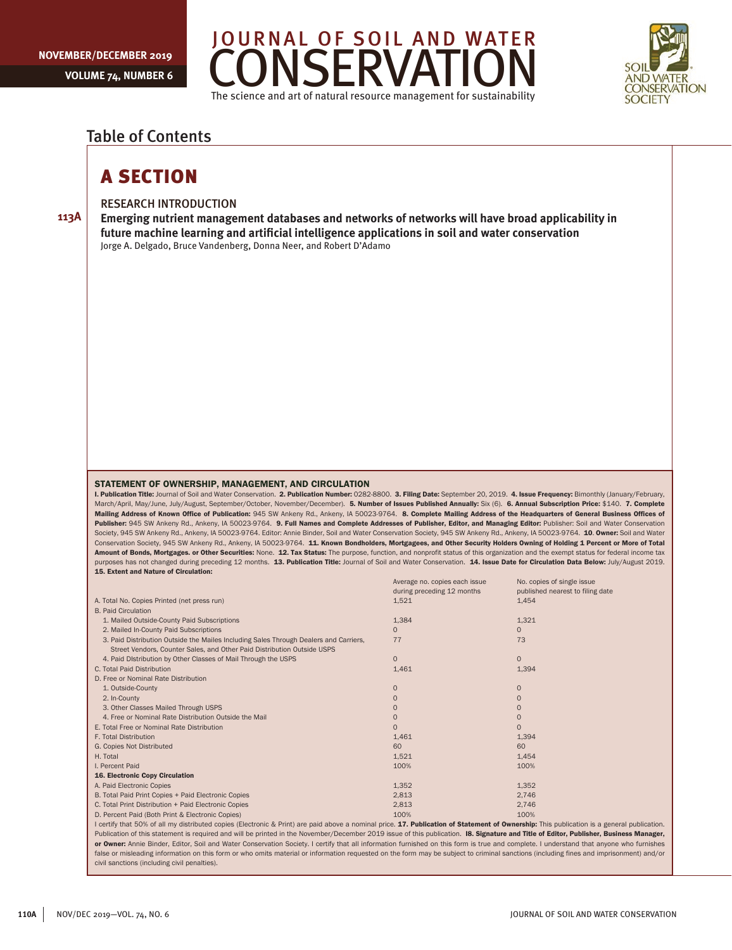**113A**





# Table of Contents

# A SECTION

## RESEARCH INTRODUCTION

**Emerging nutrient management databases and networks of networks will have broad applicability in future machine learning and artificial intelligence applications in soil and water conservation** Jorge A. Delgado, Bruce Vandenberg, Donna Neer, and Robert D'Adamo

#### STATEMENT OF OWNERSHIP, MANAGEMENT, AND CIRCULATION

I. Publication Title: Journal of Soil and Water Conservation. 2. Publication Number: 0282-8800. 3. Filing Date: September 20, 2019. 4. Issue Frequency: Bimonthly (January/February, March/April, May/June, July/August, September/October, November/December). 5. Number of Issues Published Annually: Six (6). 6. Annual Subscription Price: \$140. 7. Complete Mailing Address of Known Office of Publication: 945 SW Ankeny Rd., Ankeny, IA 50023-9764. 8. Complete Mailing Address of the Headquarters of General Business Offices of Publisher: 945 SW Ankeny Rd., Ankeny, IA 50023-9764. 9. Full Names and Complete Addresses of Publisher, Editor, and Managing Editor: Publisher: Soil and Water Conservation Society, 945 SW Ankeny Rd., Ankeny, IA 50023-9764. Editor: Annie Binder, Soil and Water Conservation Society, 945 SW Ankeny Rd., Ankeny, IA 50023-9764. 10. Owner: Soil and Water Conservation Society, 945 SW Ankeny Rd., Ankeny, IA 50023-9764. 11. Known Bondholders, Mortgagees, and Other Security Holders Owning of Holding 1 Percent or More of Total Amount of Bonds, Mortgages. or Other Securities: None. 12. Tax Status: The purpose, function, and nonprofit status of this organization and the exempt status for federal income tax purposes has not changed during preceding 12 months. 13. Publication Title: Journal of Soil and Water Conservation. 14. Issue Date for Circulation Data Below: July/August 2019. 15. Extent and Nature of Circulation:

|                                                                                                                                                                                            | Average no. copies each issue | No. copies of single issue       |  |
|--------------------------------------------------------------------------------------------------------------------------------------------------------------------------------------------|-------------------------------|----------------------------------|--|
|                                                                                                                                                                                            | during preceding 12 months    | published nearest to filing date |  |
| A. Total No. Copies Printed (net press run)                                                                                                                                                | 1,521                         | 1,454                            |  |
| <b>B. Paid Circulation</b>                                                                                                                                                                 |                               |                                  |  |
| 1. Mailed Outside-County Paid Subscriptions                                                                                                                                                | 1,384                         | 1,321                            |  |
| 2. Mailed In-County Paid Subscriptions                                                                                                                                                     | $\Omega$                      | $\Omega$                         |  |
| 3. Paid Distribution Outside the Mailes Including Sales Through Dealers and Carriers,                                                                                                      | 77                            | 73                               |  |
| Street Vendors, Counter Sales, and Other Paid Distribution Outside USPS                                                                                                                    |                               |                                  |  |
| 4. Paid Distribution by Other Classes of Mail Through the USPS                                                                                                                             | $\overline{0}$                | $\Omega$                         |  |
| C. Total Paid Distribution                                                                                                                                                                 | 1,461                         | 1,394                            |  |
| D. Free or Nominal Rate Distribution                                                                                                                                                       |                               |                                  |  |
| 1. Outside-County                                                                                                                                                                          | $\Omega$                      | $\Omega$                         |  |
| 2. In-County                                                                                                                                                                               | $\Omega$                      | $\Omega$                         |  |
| 3. Other Classes Mailed Through USPS                                                                                                                                                       | $\Omega$                      | ∩                                |  |
| 4. Free or Nominal Rate Distribution Outside the Mail                                                                                                                                      | $\Omega$                      | $\Omega$                         |  |
| E. Total Free or Nominal Rate Distribution                                                                                                                                                 | $\Omega$                      | $\Omega$                         |  |
| F. Total Distribution                                                                                                                                                                      | 1,461                         | 1,394                            |  |
| G. Copies Not Distributed                                                                                                                                                                  | 60                            | 60                               |  |
| H. Total                                                                                                                                                                                   | 1,521                         | 1,454                            |  |
| I. Percent Paid                                                                                                                                                                            | 100%                          | 100%                             |  |
| <b>16. Electronic Copy Circulation</b>                                                                                                                                                     |                               |                                  |  |
| A. Paid Electronic Copies                                                                                                                                                                  | 1,352                         | 1,352                            |  |
| B. Total Paid Print Copies + Paid Electronic Copies                                                                                                                                        | 2,813                         | 2,746                            |  |
| C. Total Print Distribution + Paid Electronic Copies                                                                                                                                       | 2,813                         | 2,746                            |  |
| D. Percent Paid (Both Print & Electronic Copies)                                                                                                                                           | 100%                          | 100%                             |  |
| I certify that 50% of all my distributed copies (Electronic & Print) are paid above a nominal price. 17. Publication of Statement of Ownership: This publication is a general publication. |                               |                                  |  |

Publication of this statement is required and will be printed in the November/December 2019 issue of this publication. **I8. Signature and Title of Editor, Publisher, Business Manager,** or Owner: Annie Binder, Editor, Soil and Water Conservation Society. I certify that all information furnished on this form is true and complete. I understand that anyone who furnishes false or misleading information on this form or who omits material or information requested on the form may be subject to criminal sanctions (including fines and imprisonment) and/or civil sanctions (including civil penalties).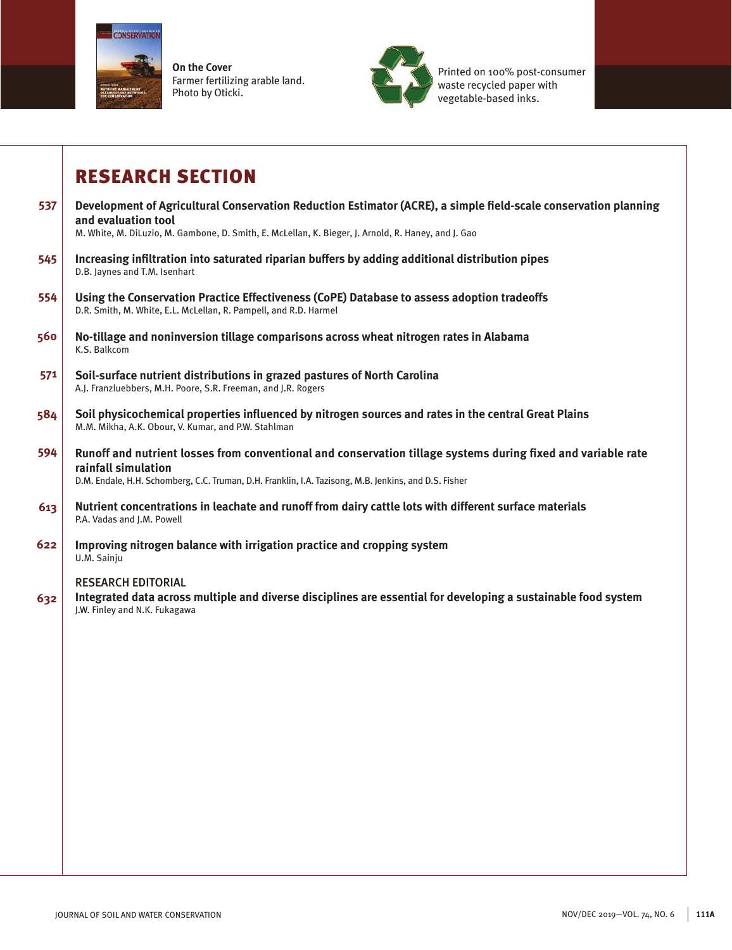

**On the Cover** Farmer fertilizing arable land. Photo by Oticki.



Printed on 100% post-consumer waste recycled paper with vegetable-based inks.

# RESEARCH SECTION

| 537 | Development of Agricultural Conservation Reduction Estimator (ACRE), a simple field-scale conservation planning<br>and evaluation tool<br>M. White, M. DiLuzio, M. Gambone, D. Smith, E. McLellan, K. Bieger, J. Arnold, R. Haney, and J. Gao |
|-----|-----------------------------------------------------------------------------------------------------------------------------------------------------------------------------------------------------------------------------------------------|
| 545 | Increasing infiltration into saturated riparian buffers by adding additional distribution pipes<br>D.B. Jaynes and T.M. Isenhart                                                                                                              |
| 554 | Using the Conservation Practice Effectiveness (CoPE) Database to assess adoption tradeoffs<br>D.R. Smith, M. White, E.L. McLellan, R. Pampell, and R.D. Harmel                                                                                |
| 560 | No-tillage and noninversion tillage comparisons across wheat nitrogen rates in Alabama<br>K.S. Balkcom                                                                                                                                        |
| 571 | Soil-surface nutrient distributions in grazed pastures of North Carolina<br>A.J. Franzluebbers, M.H. Poore, S.R. Freeman, and J.R. Rogers                                                                                                     |
| 584 | Soil physicochemical properties influenced by nitrogen sources and rates in the central Great Plains<br>M.M. Mikha, A.K. Obour, V. Kumar, and P.W. Stahlman                                                                                   |
| 594 | Runoff and nutrient losses from conventional and conservation tillage systems during fixed and variable rate<br>rainfall simulation<br>D.M. Endale, H.H. Schomberg, C.C. Truman, D.H. Franklin, I.A. Tazisong, M.B. Jenkins, and D.S. Fisher  |
| 613 | Nutrient concentrations in leachate and runoff from dairy cattle lots with different surface materials<br>P.A. Vadas and J.M. Powell                                                                                                          |
| 622 | Improving nitrogen balance with irrigation practice and cropping system<br>U.M. Sainju                                                                                                                                                        |
| 632 | <b>RESEARCH EDITORIAL</b><br>Integrated data across multiple and diverse disciplines are essential for developing a sustainable food system<br>J.W. Finley and N.K. Fukagawa                                                                  |
|     |                                                                                                                                                                                                                                               |
|     |                                                                                                                                                                                                                                               |
|     |                                                                                                                                                                                                                                               |
|     |                                                                                                                                                                                                                                               |
|     |                                                                                                                                                                                                                                               |
|     |                                                                                                                                                                                                                                               |
|     |                                                                                                                                                                                                                                               |